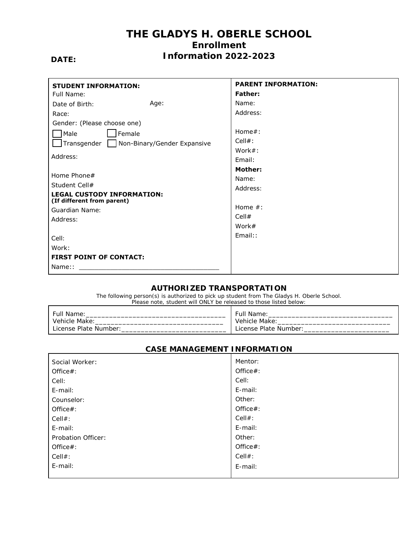### **THE GLADYS H. OBERLE SCHOOL Enrollment Information 2022-2023**

### **DATE:**

| <b>STUDENT INFORMATION:</b>                                     | <b>PARENT INFORMATION:</b> |  |  |
|-----------------------------------------------------------------|----------------------------|--|--|
| Full Name:                                                      | <b>Father:</b>             |  |  |
| Age:<br>Date of Birth:                                          | Name:                      |  |  |
| Race:                                                           | Address:                   |  |  |
| Gender: (Please choose one)                                     |                            |  |  |
| Semale<br>Male                                                  | $Home#$ :                  |  |  |
| Transgender Non-Binary/Gender Expansive                         | $Cell#$ :                  |  |  |
|                                                                 | Work $#$ :                 |  |  |
| Address:                                                        | Email:                     |  |  |
|                                                                 | <b>Mother:</b>             |  |  |
| Home Phone#                                                     | Name:                      |  |  |
| Student Cell#                                                   | Address:                   |  |  |
| <b>LEGAL CUSTODY INFORMATION:</b><br>(If different from parent) |                            |  |  |
| Guardian Name:                                                  | Home $#$ :                 |  |  |
| Address:                                                        | Cell#                      |  |  |
|                                                                 | Work $#$                   |  |  |
| Cell:                                                           | Email::                    |  |  |
| Work:                                                           |                            |  |  |
| <b>FIRST POINT OF CONTACT:</b>                                  |                            |  |  |
| Name::                                                          |                            |  |  |

### **AUTHORIZED TRANSPORTATION**

The following person(s) is authorized to pick up student from The Gladys H. Oberle School. Please note, student will ONLY be released to those listed below:

| Full                         | ⊦ulı           |
|------------------------------|----------------|
| Name                         | Name:          |
| Vehicle<br>Make <sup>.</sup> | Vehicle Make:  |
| `.icense                     | . Plate Number |
| <b>Plate Number</b>          | ∟icense        |

| Social Worker:     | Mentor:   |
|--------------------|-----------|
| Office#:           | Office#:  |
| Cell:              | Cell:     |
| E-mail:            | E-mail:   |
| Counselor:         | Other:    |
| Office#:           | Office#:  |
| Cell#:             | $Cell#$ : |
| E-mail:            | E-mail:   |
| Probation Officer: | Other:    |
| Office#:           | Office#:  |
| Cell#:             | $Cell#$ : |
| E-mail:            | E-mail:   |
|                    |           |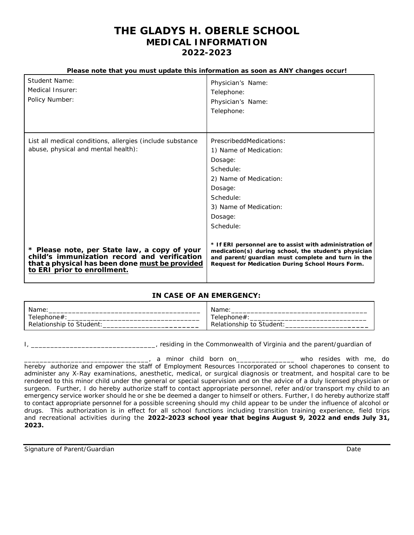### **THE GLADYS H. OBERLE SCHOOL MEDICAL INFORMATION 2022-2023**

#### **Please note that you must update this information as soon as ANY changes occur!**

| Student Name:<br>Medical Insurer:<br>Policy Number:                                                                                                                           | Physician's Name:<br>Telephone:<br>Physician's Name:<br>Telephone:                                                                                                                                                       |
|-------------------------------------------------------------------------------------------------------------------------------------------------------------------------------|--------------------------------------------------------------------------------------------------------------------------------------------------------------------------------------------------------------------------|
| List all medical conditions, allergies (include substance<br>abuse, physical and mental health):                                                                              | PrescribeddMedications:<br>1) Name of Medication:<br>Dosage:<br>Schedule:<br>2) Name of Medication:<br>Dosage:<br>Schedule:<br>3) Name of Medication:<br>Dosage:<br>Schedule:                                            |
| * Please note, per State law, a copy of your<br>child's immunization record and verification<br>that a physical has been done must be provided<br>to ERI prior to enrollment. | * If ERI personnel are to assist with administration of<br>medication(s) during school, the student's physician<br>and parent/guardian must complete and turn in the<br>Request for Medication During School Hours Form. |

#### **IN CASE OF AN EMERGENCY:**

| Name                     | Name.                    |  |  |
|--------------------------|--------------------------|--|--|
| elephone#                | elephone#                |  |  |
| Relationship to Student: | Relationship to Student: |  |  |

I, \_\_\_\_\_\_\_\_\_\_\_\_\_\_\_\_\_\_\_\_\_\_\_\_\_\_\_\_\_\_\_\_, residing in the Commonwealth of Virginia and the parent/guardian of

\_\_\_\_, a minor child born on\_\_\_\_\_\_\_\_\_\_\_\_\_\_\_\_\_\_ who resides with me, do hereby authorize and empower the staff of Employment Resources Incorporated or school chaperones to consent to administer any X-Ray examinations, anesthetic, medical, or surgical diagnosis or treatment, and hospital care to be rendered to this minor child under the general or special supervision and on the advice of a duly licensed physician or surgeon. Further, I do hereby authorize staff to contact appropriate personnel, refer and/or transport my child to an emergency service worker should he or she be deemed a danger to himself or others. Further, I do hereby authorize staff to contact appropriate personnel for a possible screening should my child appear to be under the influence of alcohol or drugs. This authorization is in effect for all school functions including transition training experience, field trips and recreational activities during the **2022-2023 school year that begins August 9, 2022 and ends July 31, 2023.**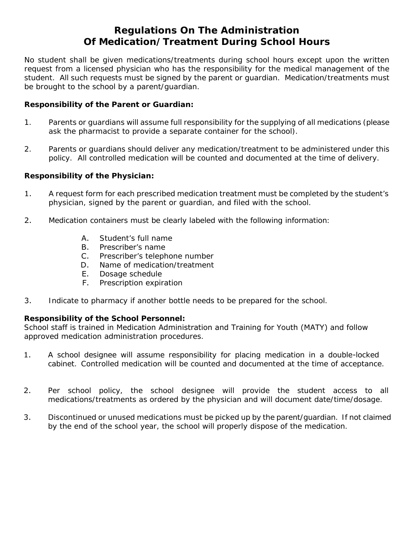### **Regulations On The Administration Of Medication/Treatment During School Hours**

No student shall be given medications/treatments during school hours except upon the written request from a licensed physician who has the responsibility for the medical management of the student. All such requests must be signed by the parent or guardian. Medication/treatments must be brought to the school by a parent/guardian.

### **Responsibility of the Parent or Guardian:**

- 1. Parents or guardians will assume full responsibility for the supplying of all medications (please ask the pharmacist to provide a separate container for the school).
- 2. Parents or guardians should deliver any medication/treatment to be administered under this policy. All controlled medication will be counted and documented at the time of delivery.

### **Responsibility of the Physician:**

- 1. A request form for each prescribed medication treatment must be completed by the student's physician, signed by the parent or guardian, and filed with the school.
- 2. Medication containers must be clearly labeled with the following information:
	- A. Student's full name
	- B. Prescriber's name
	- C. Prescriber's telephone number
	- D. Name of medication/treatment
	- E. Dosage schedule
	- F. Prescription expiration
- 3. Indicate to pharmacy if another bottle needs to be prepared for the school.

### **Responsibility of the School Personnel:**

School staff is trained in Medication Administration and Training for Youth (MATY) and follow approved medication administration procedures.

- 1. A school designee will assume responsibility for placing medication in a double-locked cabinet. Controlled medication will be counted and documented at the time of acceptance.
- 2. Per school policy, the school designee will provide the student access to all medications/treatments as ordered by the physician and will document date/time/dosage.
- 3. Discontinued or unused medications must be picked up by the parent/guardian. If not claimed by the end of the school year, the school will properly dispose of the medication.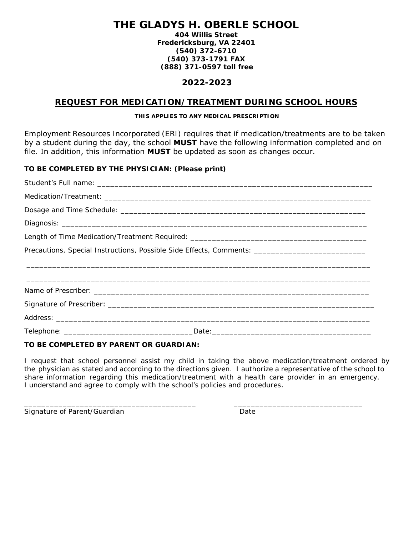## **THE GLADYS H. OBERLE SCHOOL**

**404 Willis Street Fredericksburg, VA 22401 (540) 372-6710 (540) 373-1791 FAX (888) 371-0597 toll free**

### **2022-2023**

### **REQUEST FOR MEDICATION/TREATMENT DURING SCHOOL HOURS**

#### **THIS APPLIES TO ANY MEDICAL PRESCRIPTION**

Employment Resources Incorporated (ERI) requires that if medication/treatments are to be taken by a student during the day, the school **MUST** have the following information completed and on file. In addition, this information **MUST** be updated as soon as changes occur.

### **TO BE COMPLETED BY THE PHYSICIAN: (Please print)**

| Precautions, Special Instructions, Possible Side Effects, Comments: _______________________________ |  |  |  |  |
|-----------------------------------------------------------------------------------------------------|--|--|--|--|
| <u>,这个人都是不是一个人的,我们就是一个人的,我们就是一个人的,我们就是一个人的,我们就是一个人的,我们就是一个人的,我们就是一个人的,我们就是一个人的,我们</u>               |  |  |  |  |
| ,一个人都是一个人的人,一个人都是一个人的人,一个人都是一个人的人,一个人都是一个人的人,一个人都是一个人的人,一个人都是一个人的人,一个人都是一个人的人,一个人                   |  |  |  |  |
|                                                                                                     |  |  |  |  |
|                                                                                                     |  |  |  |  |
|                                                                                                     |  |  |  |  |
|                                                                                                     |  |  |  |  |

### **TO BE COMPLETED BY PARENT OR GUARDIAN:**

I request that school personnel assist my child in taking the above medication/treatment ordered by the physician as stated and according to the directions given. I authorize a representative of the school to share information regarding this medication/treatment with a health care provider in an emergency. I understand and agree to comply with the school's policies and procedures.

\_\_\_\_\_\_\_\_\_\_\_\_\_\_\_\_\_\_\_\_\_\_\_\_\_\_\_\_\_\_\_\_\_\_\_\_\_\_\_\_ \_\_\_\_\_\_\_\_\_\_\_\_\_\_\_\_\_\_\_\_\_\_\_\_\_\_\_\_\_\_ Signature of Parent/Guardian Date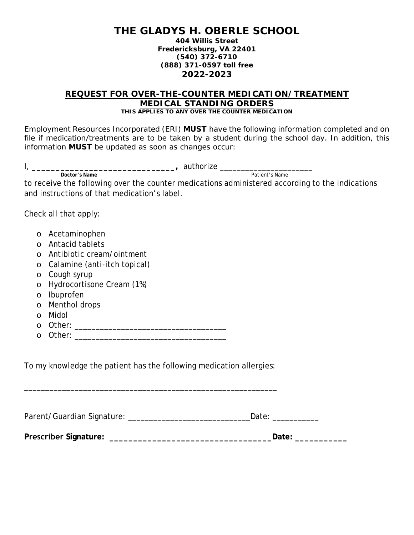### **THE GLADYS H. OBERLE SCHOOL**

**404 Willis Street Fredericksburg, VA 22401 (540) 372-6710 (888) 371-0597 toll free 2022-2023**

#### **REQUEST FOR OVER-THE-COUNTER MEDICATION/TREATMENT MEDICAL STANDING ORDERS**  *THIS APPLIES TO ANY OVER THE COUNTER MEDICATION*

Employment Resources Incorporated (ERI) **MUST** have the following information completed and on file if medication/treatments are to be taken by a student during the school day. In addition, this information **MUST** be updated as soon as changes occur:

|         | Patient's Name<br>Doctor's Name                                                                 |
|---------|-------------------------------------------------------------------------------------------------|
|         | to receive the following over the counter medications administered according to the indications |
|         | and instructions of that medication's label.                                                    |
|         |                                                                                                 |
|         | Check all that apply:                                                                           |
|         |                                                                                                 |
| $\circ$ | Acetaminophen                                                                                   |
| $\circ$ | Antacid tablets                                                                                 |
| $\circ$ | Antibiotic cream/ointment                                                                       |
| $\circ$ | Calamine (anti-itch topical)                                                                    |
| $\circ$ | Cough syrup                                                                                     |
| $\circ$ | Hydrocortisone Cream (1%)                                                                       |
| $\circ$ | Ibuprofen                                                                                       |
| $\circ$ | Menthol drops                                                                                   |
| $\circ$ | Midol                                                                                           |
| $\circ$ |                                                                                                 |
| $\circ$ |                                                                                                 |
|         |                                                                                                 |
|         |                                                                                                 |
|         |                                                                                                 |
|         |                                                                                                 |
|         |                                                                                                 |
|         | To my knowledge the patient has the following medication allergies:                             |

| Parent/Guardian Signature: | Date <sup>.</sup> |
|----------------------------|-------------------|
|----------------------------|-------------------|

**Prescriber Signature: \_\_\_\_\_\_\_\_\_\_\_\_\_\_\_\_\_\_\_\_\_\_\_\_\_\_\_\_\_\_\_\_\_\_Date: \_\_\_\_\_\_\_\_\_\_\_**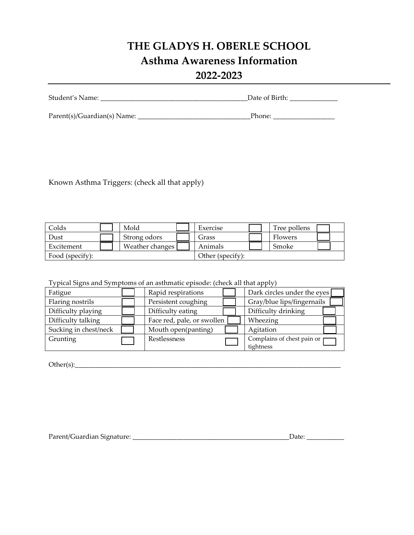# **THE GLADYS H. OBERLE SCHOOL Asthma Awareness Information 2022-2023**

| Student's Name: | $\Delta$ Date $\epsilon$<br>∩t<br>DIFII) |  |
|-----------------|------------------------------------------|--|
|                 |                                          |  |

Parent(s)/Guardian(s) Name: \_\_\_\_\_\_\_\_\_\_\_\_\_\_\_\_\_\_\_\_\_\_\_\_\_\_\_\_\_\_\_\_\_Phone: \_\_\_\_\_\_\_\_\_\_\_\_\_\_\_\_\_\_

Known Asthma Triggers: (check all that apply)

| Colds           | Mold            | Exercise         | Tree pollens |  |
|-----------------|-----------------|------------------|--------------|--|
| Dust            | Strong odors    | Grass            | Flowers      |  |
| Excitement      | Weather changes | Animals          | Smoke        |  |
| Food (specify): |                 | Other (specify): |              |  |

Typical Signs and Symptoms of an asthmatic episode: (check all that apply)

| Fatigue               | Rapid respirations         | Dark circles under the eyes |
|-----------------------|----------------------------|-----------------------------|
| Flaring nostrils      | Persistent coughing        | Gray/blue lips/fingernails  |
| Difficulty playing    | Difficulty eating          | Difficulty drinking         |
| Difficulty talking    | Face red, pale, or swollen | Wheezing                    |
| Sucking in chest/neck | Mouth open(panting)        | Agitation                   |
| Grunting              | Restlessness               | Complains of chest pain or  |
|                       |                            | tightness                   |

 $Other(s):$ 

| Parent/Guardian Signature:<br>$\cdots$ | лат |
|----------------------------------------|-----|
|----------------------------------------|-----|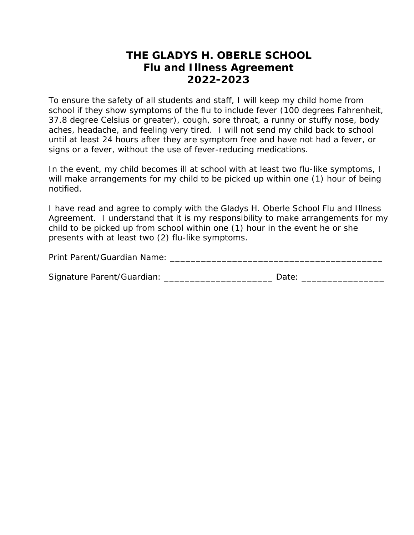### **THE GLADYS H. OBERLE SCHOOL Flu and Illness Agreement 2022-2023**

To ensure the safety of all students and staff, I will keep my child home from school if they show symptoms of the flu to include fever (100 degrees Fahrenheit, 37.8 degree Celsius or greater), cough, sore throat, a runny or stuffy nose, body aches, headache, and feeling very tired. I will not send my child back to school until at least 24 hours after they are symptom free and have not had a fever, or signs or a fever, without the use of fever-reducing medications.

In the event, my child becomes ill at school with at least two flu-like symptoms, I will make arrangements for my child to be picked up within one (1) hour of being notified.

I have read and agree to comply with the Gladys H. Oberle School Flu and Illness Agreement. I understand that it is my responsibility to make arrangements for my child to be picked up from school within one (1) hour in the event he or she presents with at least two (2) flu-like symptoms.

Print Parent/Guardian Name: \_\_\_\_\_\_\_\_\_\_\_\_\_\_\_\_\_\_\_\_\_\_\_\_\_\_\_\_\_\_\_\_\_\_\_\_\_\_\_\_\_

| Signature Parent/Guardian: |      |
|----------------------------|------|
|                            | Date |
|                            |      |
|                            |      |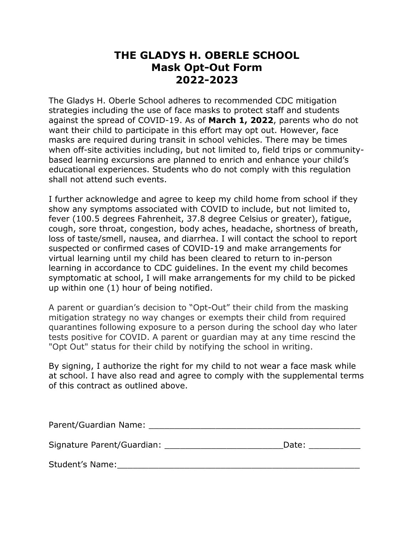## **THE GLADYS H. OBERLE SCHOOL Mask Opt-Out Form 2022-2023**

The Gladys H. Oberle School adheres to recommended CDC mitigation strategies including the use of face masks to protect staff and students against the spread of COVID-19. As of **March 1, 2022**, parents who do not want their child to participate in this effort may opt out. However, face masks are required during transit in school vehicles. There may be times when off-site activities including, but not limited to, field trips or communitybased learning excursions are planned to enrich and enhance your child's educational experiences. Students who do not comply with this regulation shall not attend such events.

I further acknowledge and agree to keep my child home from school if they show any symptoms associated with COVID to include, but not limited to, fever (100.5 degrees Fahrenheit, 37.8 degree Celsius or greater), fatigue, cough, sore throat, congestion, body aches, headache, shortness of breath, loss of taste/smell, nausea, and diarrhea. I will contact the school to report suspected or confirmed cases of COVID-19 and make arrangements for virtual learning until my child has been cleared to return to in-person learning in accordance to CDC guidelines. In the event my child becomes symptomatic at school, I will make arrangements for my child to be picked up within one (1) hour of being notified.

A parent or guardian's decision to "Opt-Out" their child from the masking mitigation strategy no way changes or exempts their child from required quarantines following exposure to a person during the school day who later tests positive for COVID. A parent or guardian may at any time rescind the "Opt Out" status for their child by notifying the school in writing.

By signing, I authorize the right for my child to not wear a face mask while at school. I have also read and agree to comply with the supplemental terms of this contract as outlined above.

| Parent/Guardian Name:      |       |
|----------------------------|-------|
| Signature Parent/Guardian: | Date: |
| Student's Name:            |       |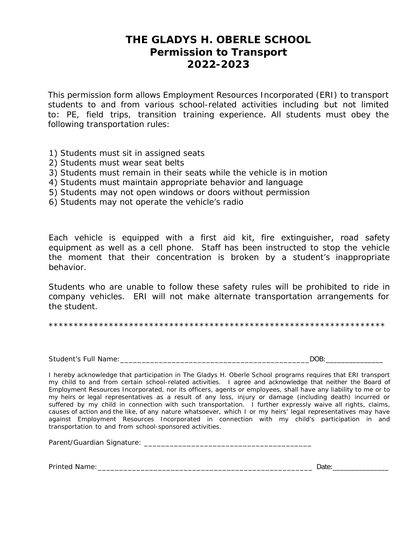### **THE GLADYS H. OBERLE SCHOOL Permission to Transport 2022-2023**

This permission form allows Employment Resources Incorporated (ERI) to transport students to and from various school-related activities including but not limited to: PE, field trips, transition training experience. All students must obey the following transportation rules:

- 1) Students must sit in assigned seats
- 2) Students must wear seat belts
- 3) Students must remain in their seats while the vehicle is in motion
- 4) Students must maintain appropriate behavior and language
- 5) Students may not open windows or doors without permission
- 6) Students may not operate the vehicle's radio

Each vehicle is equipped with a first aid kit, fire extinguisher, road safety equipment as well as a cell phone. Staff has been instructed to stop the vehicle the moment that their concentration is broken by a student's inappropriate behavior.

Students who are unable to follow these safety rules will be prohibited to ride in company vehicles. ERI will not make alternate transportation arrangements for the student.

\*\*\*\*\*\*\*\*\*\*\*\*\*\*\*\*\*\*\*\*\*\*\*\*\*\*\*\*\*\*\*\*\*\*\*\*\*\*\*\*\*\*\*\*\*\*\*\*\*\*\*\*\*\*\*\*\*\*\*\*\*\*\*\*\*\*\*

Student's Full Name:\_\_\_\_\_\_\_\_\_\_\_\_\_\_\_\_\_\_\_\_\_\_\_\_\_\_\_\_\_\_\_\_\_\_\_\_\_\_\_\_\_\_\_\_DOB:\_\_\_\_\_\_\_\_\_\_\_\_\_\_\_

I hereby acknowledge that participation in The Gladys H. Oberle School programs requires that ERI transport my child to and from certain school-related activities. I agree and acknowledge that neither the Board of Employment Resources Incorporated, nor its officers, agents or employees, shall have any liability to me or to my heirs or legal representatives as a result of any loss, injury or damage (including death) incurred or suffered by my child in connection with such transportation. I further expressly waive all rights, claims, causes of action and the like, of any nature whatsoever, which I or my heirs' legal representatives may have against Employment Resources Incorporated in connection with my child's participation in and transportation to and from school-sponsored activities.

Parent/Guardian Signature: \_\_\_\_\_\_\_\_\_\_\_\_\_\_\_\_\_\_\_\_\_\_\_\_\_\_\_\_\_\_\_\_\_\_\_\_\_\_\_

Printed Name:\_\_\_\_\_\_\_\_\_\_\_\_\_\_\_\_\_\_\_\_\_\_\_\_\_\_\_\_\_\_\_\_\_\_\_\_\_\_\_\_\_\_\_\_\_\_\_\_\_\_ Date:\_\_\_\_\_\_\_\_\_\_\_\_\_\_\_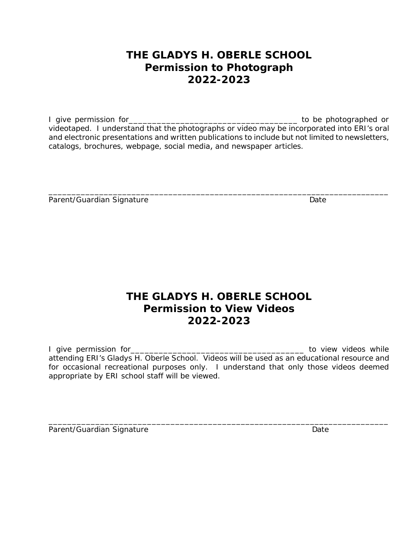## **THE GLADYS H. OBERLE SCHOOL Permission to Photograph 2022-2023**

I give permission for\_\_\_\_\_\_\_\_\_\_\_\_\_\_\_\_\_\_\_\_\_\_\_\_\_\_\_\_\_\_\_\_\_\_\_\_ to be photographed or videotaped. I understand that the photographs or video may be incorporated into ERI's oral and electronic presentations and written publications to include but not limited to newsletters, catalogs, brochures, webpage, social media, and newspaper articles.

\_\_\_\_\_\_\_\_\_\_\_\_\_\_\_\_\_\_\_\_\_\_\_\_\_\_\_\_\_\_\_\_\_\_\_\_\_\_\_\_\_\_\_\_\_\_\_\_\_\_\_\_\_\_\_\_\_\_\_\_\_\_\_\_\_\_\_\_\_\_\_\_\_\_

| Parent/Guardian Signature | Date |
|---------------------------|------|
|---------------------------|------|

## **THE GLADYS H. OBERLE SCHOOL Permission to View Videos 2022-2023**

I give permission for\_\_\_\_\_\_\_\_\_\_\_\_\_\_\_\_\_\_\_\_\_\_\_\_\_\_\_\_\_\_\_\_\_\_\_\_\_ to view videos while attending ERI's Gladys H. Oberle School. Videos will be used as an educational resource and for occasional recreational purposes only. I understand that only those videos deemed appropriate by ERI school staff will be viewed.

\_\_\_\_\_\_\_\_\_\_\_\_\_\_\_\_\_\_\_\_\_\_\_\_\_\_\_\_\_\_\_\_\_\_\_\_\_\_\_\_\_\_\_\_\_\_\_\_\_\_\_\_\_\_\_\_\_\_\_\_\_\_\_\_\_\_\_\_\_\_\_\_\_ Parent/Guardian Signature **Date** Date Date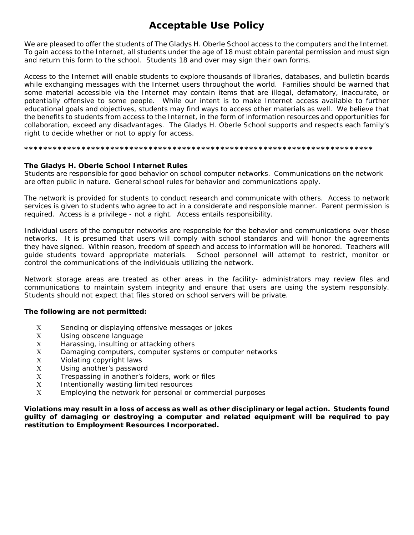## **Acceptable Use Policy**

We are pleased to offer the students of The Gladys H. Oberle School access to the computers and the Internet. To gain access to the Internet, all students under the age of 18 must obtain parental permission and must sign and return this form to the school. Students 18 and over may sign their own forms.

Access to the Internet will enable students to explore thousands of libraries, databases, and bulletin boards while exchanging messages with the Internet users throughout the world. Families should be warned that some material accessible via the Internet may contain items that are illegal, defamatory, inaccurate, or potentially offensive to some people. While our intent is to make Internet access available to further educational goals and objectives, students may find ways to access other materials as well. We believe that the benefits to students from access to the Internet, in the form of information resources and opportunities for collaboration, exceed any disadvantages. The Gladys H. Oberle School supports and respects each family's right to decide whether or not to apply for access.

#### **\*\*\*\*\*\*\*\*\*\*\*\*\*\*\*\*\*\*\*\*\*\*\*\*\*\*\*\*\*\*\*\*\*\*\*\*\*\*\*\*\*\*\*\*\*\*\*\*\*\*\*\*\*\*\*\*\*\*\*\*\*\*\*\*\*\*\*\*\*\*\*\*\***

#### **The Gladys H. Oberle School Internet Rules**

Students are responsible for good behavior on school computer networks. Communications on the network are often public in nature. General school rules for behavior and communications apply.

The network is provided for students to conduct research and communicate with others. Access to network services is given to students who agree to act in a considerate and responsible manner. Parent permission is required. Access is a privilege - not a right. Access entails responsibility.

Individual users of the computer networks are responsible for the behavior and communications over those networks. It is presumed that users will comply with school standards and will honor the agreements they have signed. Within reason, freedom of speech and access to information will be honored. Teachers will guide students toward appropriate materials. School personnel will attempt to restrict, monitor or control the communications of the individuals utilizing the network.

Network storage areas are treated as other areas in the facility- administrators may review files and communications to maintain system integrity and ensure that users are using the system responsibly. Students should not expect that files stored on school servers will be private.

#### **The following are not permitted:**

- Χ Sending or displaying offensive messages or jokes
- Χ Using obscene language
- Χ Harassing, insulting or attacking others
- Χ Damaging computers, computer systems or computer networks
- Χ Violating copyright laws
- Χ Using another's password
- Χ Trespassing in another's folders, work or files
- Χ Intentionally wasting limited resources
- Χ Employing the network for personal or commercial purposes

**Violations may result in a loss of access as well as other disciplinary or legal action. Students found guilty of damaging or destroying a computer and related equipment will be required to pay restitution to Employment Resources Incorporated.**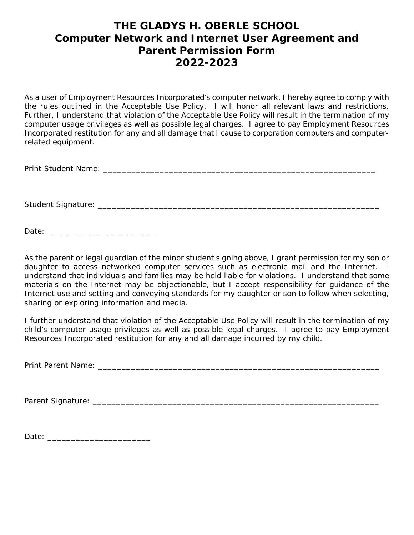## **THE GLADYS H. OBERLE SCHOOL Computer Network and Internet User Agreement and Parent Permission Form 2022-2023**

As a user of Employment Resources Incorporated's computer network, I hereby agree to comply with the rules outlined in the Acceptable Use Policy. I will honor all relevant laws and restrictions. Further, I understand that violation of the Acceptable Use Policy will result in the termination of my computer usage privileges as well as possible legal charges. I agree to pay Employment Resources Incorporated restitution for any and all damage that I cause to corporation computers and computerrelated equipment.

Print Student Name: \_\_\_\_\_\_\_\_\_\_\_\_\_\_\_\_\_\_\_\_\_\_\_\_\_\_\_\_\_\_\_\_\_\_\_\_\_\_\_\_\_\_\_\_\_\_\_\_\_\_\_\_\_\_\_\_\_\_

Student Signature: \_\_\_\_\_\_\_\_\_\_\_\_\_\_\_\_\_\_\_\_\_\_\_\_\_\_\_\_\_\_\_\_\_\_\_\_\_\_\_\_\_\_\_\_\_\_\_\_\_\_\_\_\_\_\_\_\_\_\_\_

Date:  $\Box$ 

As the parent or legal guardian of the minor student signing above, I grant permission for my son or daughter to access networked computer services such as electronic mail and the Internet. I understand that individuals and families may be held liable for violations. I understand that some materials on the Internet may be objectionable, but I accept responsibility for guidance of the Internet use and setting and conveying standards for my daughter or son to follow when selecting, sharing or exploring information and media.

I further understand that violation of the Acceptable Use Policy will result in the termination of my child's computer usage privileges as well as possible legal charges. I agree to pay Employment Resources Incorporated restitution for any and all damage incurred by my child.

Print Parent Name: \_\_\_\_\_\_\_\_\_\_\_\_\_\_\_\_\_\_\_\_\_\_\_\_\_\_\_\_\_\_\_\_\_\_\_\_\_\_\_\_\_\_\_\_\_\_\_\_\_\_\_\_\_\_\_\_\_\_\_\_

Parent Signature: \_\_\_\_\_\_\_\_\_\_\_\_\_\_\_\_\_\_\_\_\_\_\_\_\_\_\_\_\_\_\_\_\_\_\_\_\_\_\_\_\_\_\_\_\_\_\_\_\_\_\_\_\_\_\_\_\_\_\_\_\_

Date: \_\_\_\_\_\_\_\_\_\_\_\_\_\_\_\_\_\_\_\_\_\_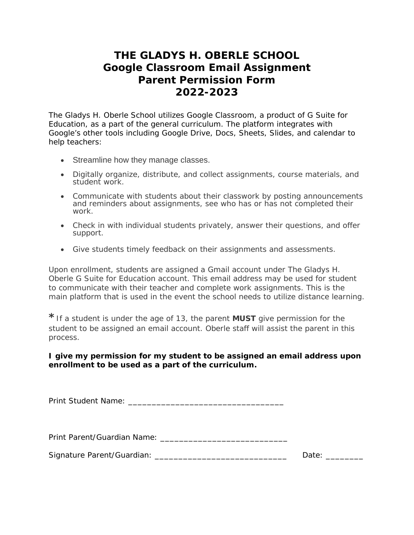## **THE GLADYS H. OBERLE SCHOOL Google Classroom Email Assignment Parent Permission Form 2022-2023**

The Gladys H. Oberle School utilizes Google Classroom, a product of G Suite for Education, as a part of the general curriculum. The platform integrates with Google's other tools including Google Drive, Docs, Sheets, Slides, and calendar to help teachers:

- Streamline how they manage classes.
- Digitally organize, distribute, and collect assignments, course materials, and student work.
- Communicate with students about their classwork by posting announcements and reminders about assignments, see who has or has not completed their work.
- Check in with individual students privately, answer their questions, and offer support.
- Give students timely feedback on their assignments and assessments.

Upon enrollment, students are assigned a Gmail account under The Gladys H. Oberle G Suite for Education account. This email address may be used for student to communicate with their teacher and complete work assignments. This is the main platform that is used in the event the school needs to utilize distance learning.

**\***If a student is under the age of 13, the parent **MUST** give permission for the student to be assigned an email account. Oberle staff will assist the parent in this process.

### **I give my permission for my student to be assigned an email address upon enrollment to be used as a part of the curriculum.**

Print Student Name: \_\_\_\_\_\_\_\_\_\_\_\_\_\_\_\_\_\_\_\_\_\_\_\_\_\_\_\_\_\_\_\_\_

Print Parent/Guardian Name: \_\_\_\_\_\_\_\_\_\_\_\_\_\_\_\_\_\_\_\_\_\_\_\_\_\_\_

Signature Parent/Guardian: \_\_\_\_\_\_\_\_\_\_\_\_\_\_\_\_\_\_\_\_\_\_\_\_\_\_\_\_ Date: \_\_\_\_\_\_\_\_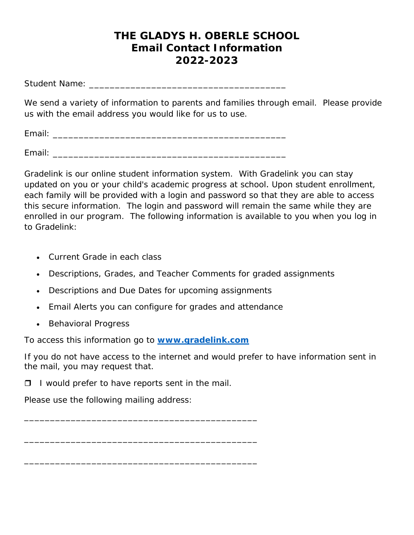## **THE GLADYS H. OBERLE SCHOOL Email Contact Information 2022-2023**

Student Name: \_\_\_\_\_\_\_\_\_\_\_\_\_\_\_\_\_\_\_\_\_\_\_\_\_\_\_\_\_\_\_\_\_\_\_\_\_\_

We send a variety of information to parents and families through email. Please provide us with the email address you would like for us to use.

Email: \_\_\_\_\_\_\_\_\_\_\_\_\_\_\_\_\_\_\_\_\_\_\_\_\_\_\_\_\_\_\_\_\_\_\_\_\_\_\_\_\_\_\_\_\_

Email: \_\_\_\_\_\_\_\_\_\_\_\_\_\_\_\_\_\_\_\_\_\_\_\_\_\_\_\_\_\_\_\_\_\_\_\_\_\_\_\_\_\_\_\_\_

Gradelink is our online student information system. With Gradelink you can stay updated on you or your child's academic progress at school. Upon student enrollment, each family will be provided with a login and password so that they are able to access this secure information. The login and password will remain the same while they are enrolled in our program. The following information is available to you when you log in to Gradelink:

- Current Grade in each class
- Descriptions, Grades, and Teacher Comments for graded assignments
- Descriptions and Due Dates for upcoming assignments
- Email Alerts you can configure for grades and attendance
- Behavioral Progress

To access this information go to **[www.gradelink.com](http://www.gradelink.com/)**

If you do not have access to the internet and would prefer to have information sent in the mail, you may request that.

 $\Box$  I would prefer to have reports sent in the mail.

\_\_\_\_\_\_\_\_\_\_\_\_\_\_\_\_\_\_\_\_\_\_\_\_\_\_\_\_\_\_\_\_\_\_\_\_\_\_\_\_\_\_\_\_\_

\_\_\_\_\_\_\_\_\_\_\_\_\_\_\_\_\_\_\_\_\_\_\_\_\_\_\_\_\_\_\_\_\_\_\_\_\_\_\_\_\_\_\_\_\_

\_\_\_\_\_\_\_\_\_\_\_\_\_\_\_\_\_\_\_\_\_\_\_\_\_\_\_\_\_\_\_\_\_\_\_\_\_\_\_\_\_\_\_\_\_

Please use the following mailing address: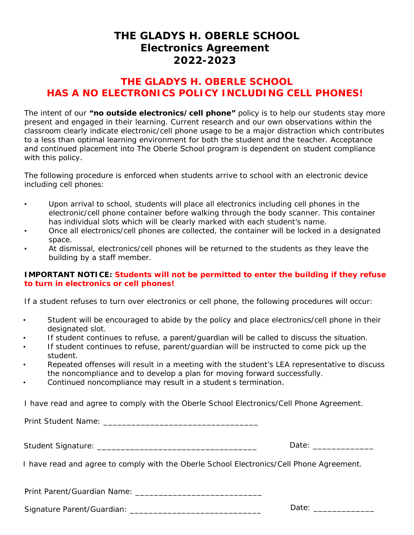### **THE GLADYS H. OBERLE SCHOOL Electronics Agreement 2022-2023**

### **THE GLADYS H. OBERLE SCHOOL HAS A NO ELECTRONICS POLICY INCLUDING CELL PHONES!**

The intent of our **"no outside electronics/cell phone"** policy is to help our students stay more present and engaged in their learning. Current research and our own observations within the classroom clearly indicate electronic/cell phone usage to be a major distraction which contributes to a less than optimal learning environment for both the student and the teacher. Acceptance and continued placement into The Oberle School program is dependent on student compliance with this policy.

The following procedure is enforced when students arrive to school with an electronic device including cell phones:

- Upon arrival to school, students will place all electronics including cell phones in the electronic/cell phone container before walking through the body scanner. This container has individual slots which will be clearly marked with each student's name.
- Once all electronics/cell phones are collected, the container will be locked in a designated space.
- At dismissal, electronics/cell phones will be returned to the students as they leave the building by a staff member.

### **IMPORTANT NOTICE: Students will not be permitted to enter the building if they refuse to turn in electronics or cell phones!**

If a student refuses to turn over electronics or cell phone, the following procedures will occur:

- Student will be encouraged to abide by the policy and place electronics/cell phone in their designated slot.
- If student continues to refuse, a parent/guardian will be called to discuss the situation.
- If student continues to refuse, parent/guardian will be instructed to come pick up the student.
- Repeated offenses will result in a meeting with the student's LEA representative to discuss the noncompliance and to develop a plan for moving forward successfully.
- Continued noncompliance may result in a student s termination.

I have read and agree to comply with the Oberle School Electronics/Cell Phone Agreement.

Print Student Name: \_\_\_\_\_\_\_\_\_\_\_\_\_\_\_\_\_\_\_\_\_\_\_\_\_\_\_\_\_\_\_\_\_

Student Signature: \_\_\_\_\_\_\_\_\_\_\_\_\_\_\_\_\_\_\_\_\_\_\_\_\_\_\_\_\_\_\_\_\_\_ Date: \_\_\_\_\_\_\_\_\_\_\_\_\_

I have read and agree to comply with the Oberle School Electronics/Cell Phone Agreement.

Print Parent/Guardian Name: \_\_\_\_\_\_\_\_\_\_\_\_\_\_\_\_\_\_\_\_\_\_\_\_\_\_\_

Signature Parent/Guardian: \_\_\_\_\_\_\_\_\_\_\_\_\_\_\_\_\_\_\_\_\_\_\_\_\_\_\_\_ Date: \_\_\_\_\_\_\_\_\_\_\_\_\_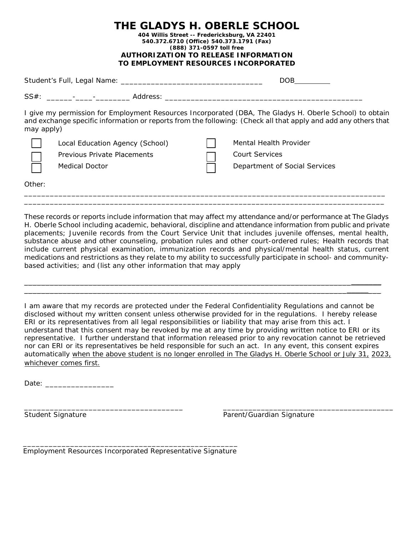| THE GLADYS H. OBERLE SCHOOL                   |
|-----------------------------------------------|
| 404 Willis Street -- Fredericksburg, VA 22401 |
| 540.372.6710 (Office) 540.373.1791 (Fax)      |
| (888) 371-0597 toll free                      |
| <b>AUTHORIZATION TO RELEASE INFORMATION</b>   |
| TO EMPLOYMENT RESOURCES INCORPORATED          |

|            |                                                                                  | DOB                                                                                                                                                                                                                       |
|------------|----------------------------------------------------------------------------------|---------------------------------------------------------------------------------------------------------------------------------------------------------------------------------------------------------------------------|
|            |                                                                                  |                                                                                                                                                                                                                           |
| may apply) |                                                                                  | I give my permission for Employment Resources Incorporated (DBA, The Gladys H. Oberle School) to obtain<br>and exchange specific information or reports from the following: (Check all that apply and add any others that |
|            | Local Education Agency (School)<br>Previous Private Placements<br>Medical Doctor | Mental Health Provider<br>Court Services<br>Department of Social Services                                                                                                                                                 |
| Other:     |                                                                                  |                                                                                                                                                                                                                           |

These records or reports include information that may affect my attendance and/or performance at The Gladys H. Oberle School including academic, behavioral, discipline and attendance information from public and private placements; Juvenile records from the Court Service Unit that includes juvenile offenses, mental health, substance abuse and other counseling, probation rules and other court-ordered rules; Health records that include current physical examination, immunization records and physical/mental health status, current medications and restrictions as they relate to my ability to successfully participate in school- and communitybased activities; and (list any other information that may apply

\_\_\_\_\_\_\_\_\_\_\_\_\_\_\_\_\_\_\_\_\_\_\_\_\_\_\_\_\_\_\_\_\_\_\_\_\_\_\_\_\_\_\_\_\_\_\_\_\_\_\_\_\_\_\_\_\_\_\_\_\_\_\_\_\_\_\_\_\_\_\_\_\_\_\_\_\_\_\_\_\_\_\_ \_\_\_\_\_\_\_\_\_\_\_\_\_\_\_\_\_\_\_\_\_\_\_\_\_\_\_\_\_\_\_\_\_\_\_\_\_\_\_\_\_\_\_\_\_\_\_\_\_\_\_\_\_\_\_\_\_\_\_\_\_\_\_\_\_\_\_\_\_\_\_\_\_\_\_\_\_\_\_\_\_\_\_

\_\_\_\_\_\_\_\_\_\_\_\_\_\_\_\_\_\_\_\_\_\_\_\_\_\_\_\_\_\_\_\_\_\_\_\_\_\_\_\_\_\_\_\_\_\_\_\_\_\_\_\_\_\_\_\_\_\_\_\_\_\_\_\_\_\_\_\_\_\_\_\_\_\_\_\_\_\_\_\_\_\_\_\_

I am aware that my records are protected under the Federal Confidentiality Regulations and cannot be disclosed without my written consent unless otherwise provided for in the regulations. I hereby release ERI or its representatives from all legal responsibilities or liability that may arise from this act. I understand that this consent may be revoked by me at any time by providing written notice to ERI or its representative. I further understand that information released prior to any revocation cannot be retrieved nor can ERI or its representatives be held responsible for such an act. In any event, this consent expires automatically when the above student is no longer enrolled in The Gladys H. Oberle School or July 31, 2023, whichever comes first.

Date:

\_\_\_\_\_\_\_\_\_\_\_\_\_\_\_\_\_\_\_\_\_\_\_\_\_\_\_\_\_\_\_\_\_\_\_\_\_ \_\_\_\_\_\_\_\_\_\_\_\_\_\_\_\_\_\_\_\_\_\_\_\_\_\_\_\_\_\_\_\_\_\_\_\_\_\_\_\_\_

Student Signature **Parent/Guardian Signature** Parent/Guardian Signature

\_\_\_\_\_\_\_\_\_\_\_\_\_\_\_\_\_\_\_\_\_\_\_\_\_\_\_\_\_\_\_\_\_\_\_\_\_\_\_\_\_\_\_\_\_\_\_\_\_\_ Employment Resources Incorporated Representative Signature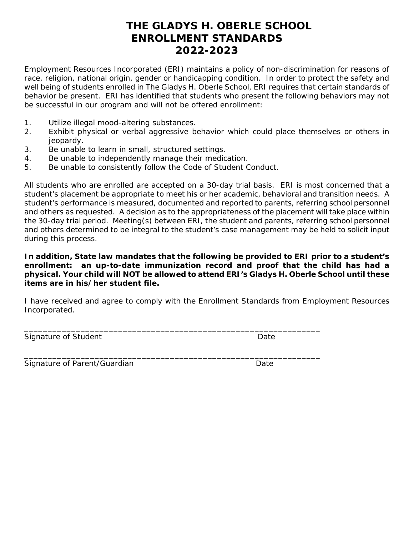## **THE GLADYS H. OBERLE SCHOOL ENROLLMENT STANDARDS 2022-2023**

Employment Resources Incorporated (ERI) maintains a policy of non-discrimination for reasons of race, religion, national origin, gender or handicapping condition. In order to protect the safety and well being of students enrolled in The Gladys H. Oberle School, ERI requires that certain standards of behavior be present. ERI has identified that students who present the following behaviors may not be successful in our program and will not be offered enrollment:

- 1. Utilize illegal mood-altering substances.
- 2. Exhibit physical or verbal aggressive behavior which could place themselves or others in jeopardy.
- 3. Be unable to learn in small, structured settings.
- 4. Be unable to independently manage their medication.
- 5. Be unable to consistently follow the Code of Student Conduct.

All students who are enrolled are accepted on a 30-day trial basis. ERI is most concerned that a student's placement be appropriate to meet his or her academic, behavioral and transition needs. A student's performance is measured, documented and reported to parents, referring school personnel and others as requested. A decision as to the appropriateness of the placement will take place within the 30-day trial period. Meeting(s) between ERI, the student and parents, referring school personnel and others determined to be integral to the student's case management may be held to solicit input during this process.

**In addition, State law mandates that the following be provided to ERI prior to a student's enrollment: an up-to-date immunization record and proof that the child has had a physical. Your child will NOT be allowed to attend ERI's Gladys H. Oberle School until these items are in his/her student file.**

I have received and agree to comply with the Enrollment Standards from Employment Resources Incorporated.

\_\_\_\_\_\_\_\_\_\_\_\_\_\_\_\_\_\_\_\_\_\_\_\_\_\_\_\_\_\_\_\_\_\_\_\_\_\_\_\_\_\_\_\_\_\_\_\_\_\_\_\_\_\_\_\_\_\_\_\_\_\_\_

\_\_\_\_\_\_\_\_\_\_\_\_\_\_\_\_\_\_\_\_\_\_\_\_\_\_\_\_\_\_\_\_\_\_\_\_\_\_\_\_\_\_\_\_\_\_\_\_\_\_\_\_\_\_\_\_\_\_\_\_\_\_\_

Signature of Student **Date** Date **Date** 

Signature of Parent/Guardian Date by Date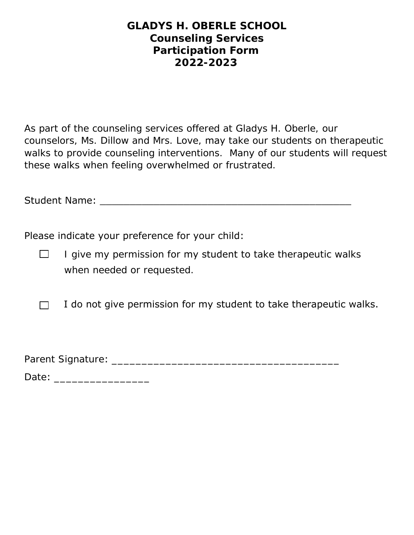### **GLADYS H. OBERLE SCHOOL Counseling Services Participation Form 2022-2023**

As part of the counseling services offered at Gladys H. Oberle, our counselors, Ms. Dillow and Mrs. Love, may take our students on therapeutic walks to provide counseling interventions. Many of our students will request these walks when feeling overwhelmed or frustrated.

Student Name: \_\_\_\_\_\_\_\_\_\_\_\_\_\_\_\_\_\_\_\_\_\_\_\_\_\_\_\_\_\_\_\_\_\_\_\_\_\_\_\_\_\_

Please indicate your preference for your child:

I give my permission for my student to take therapeutic walks  $\Box$ when needed or requested.

 I do not give permission for my student to take therapeutic walks.  $\Box$ 

Parent Signature: \_\_\_\_\_\_\_\_\_\_\_\_\_\_\_\_\_\_\_\_\_\_\_\_\_\_\_\_\_\_\_\_\_\_\_\_\_\_

Date: \_\_\_\_\_\_\_\_\_\_\_\_\_\_\_\_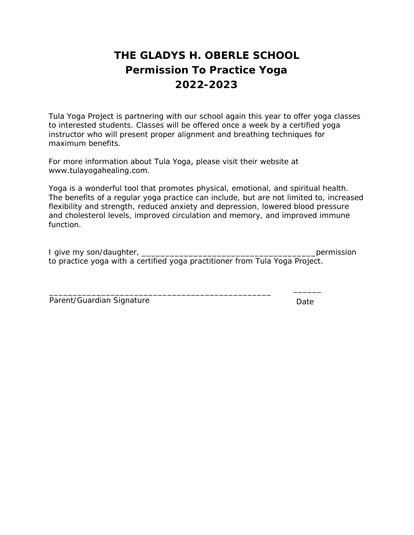# **THE GLADYS H. OBERLE SCHOOL Permission To Practice Yoga 2022-2023**

Tula Yoga Project is partnering with our school again this year to offer yoga classes to interested students. Classes will be offered once a week by a certified yoga instructor who will present proper alignment and breathing techniques for maximum benefits.

For more information about Tula Yoga, please visit their website at www.tulayogahealing.com.

Yoga is a wonderful tool that promotes physical, emotional, and spiritual health. The benefits of a regular yoga practice can include, but are not limited to, increased flexibility and strength, reduced anxiety and depression, lowered blood pressure and cholesterol levels, improved circulation and memory, and improved immune function.

| I give my son/daughter, |  |  |                                                                             |  |  | permission |
|-------------------------|--|--|-----------------------------------------------------------------------------|--|--|------------|
|                         |  |  | to practice yoga with a certified yoga practitioner from Tula Yoga Project. |  |  |            |

\_\_\_\_\_\_\_\_\_\_\_\_\_\_\_\_\_\_\_\_\_\_\_\_\_\_\_\_\_\_\_\_\_\_\_\_\_\_\_\_\_\_\_\_\_\_\_ \_\_\_\_\_\_

| Parent/Guardian Signature |  | Date |  |
|---------------------------|--|------|--|
|---------------------------|--|------|--|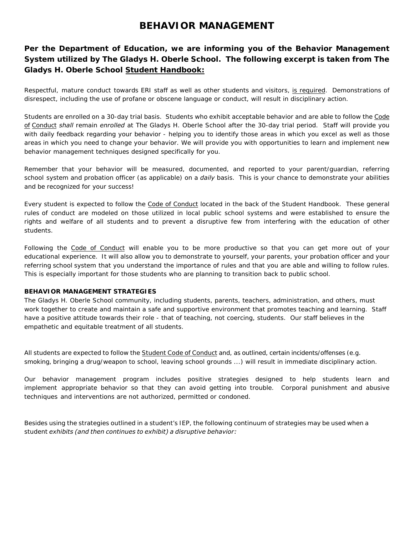### **BEHAVIOR MANAGEMENT**

### **Per the Department of Education, we are informing you of the Behavior Management System utilized by The Gladys H. Oberle School. The following excerpt is taken from The Gladys H. Oberle School Student Handbook:**

*Respectful, mature conduct towards ERI staff as well as other students and visitors, is required. Demonstrations of disrespect, including the use of profane or obscene language or conduct, will result in disciplinary action.* 

*Students are enrolled on a 30-day trial basis. Students who exhibit acceptable behavior and are able to follow the Code of Conduct shall remain enrolled at The Gladys H. Oberle School after the 30-day trial period. Staff will provide you with daily feedback regarding your behavior - helping you to identify those areas in which you excel as well as those areas in which you need to change your behavior. We will provide you with opportunities to learn and implement new behavior management techniques designed specifically for you.* 

*Remember that your behavior will be measured, documented, and reported to your parent/guardian, referring school system and probation officer (as applicable) on a daily basis. This is your chance to demonstrate your abilities and be recognized for your success!* 

*Every student is expected to follow the Code of Conduct located in the back of the Student Handbook. These general rules of conduct are modeled on those utilized in local public school systems and were established to ensure the*  rights and welfare of all students and to prevent a disruptive few from interfering with the education of other *students.* 

*Following the Code of Conduct will enable you to be more productive so that you can get more out of your educational experience. It will also allow you to demonstrate to yourself, your parents, your probation officer and your referring school system that you understand the importance of rules and that you are able and willing to follow rules. This is especially important for those students who are planning to transition back to public school.* 

#### *BEHAVIOR MANAGEMENT STRATEGIES*

*The Gladys H. Oberle School community, including students, parents, teachers, administration, and others, must work together to create and maintain a safe and supportive environment that promotes teaching and learning. Staff have a positive attitude towards their role - that of teaching, not coercing, students. Our staff believes in the empathetic and equitable treatment of all students.* 

*All students are expected to follow the Student Code of Conduct and, as outlined, certain incidents/offenses (e.g. smoking, bringing a drug/weapon to school, leaving school grounds ...) will result in immediate disciplinary action.* 

*Our behavior management program includes positive strategies designed to help students learn and implement appropriate behavior so that they can avoid getting into trouble. Corporal punishment and abusive techniques and interventions are not authorized, permitted or condoned.* 

*Besides using the strategies outlined in a student's IEP, the following continuum of strategies may be used when a student exhibits (and then continues to exhibit) a disruptive behavior:*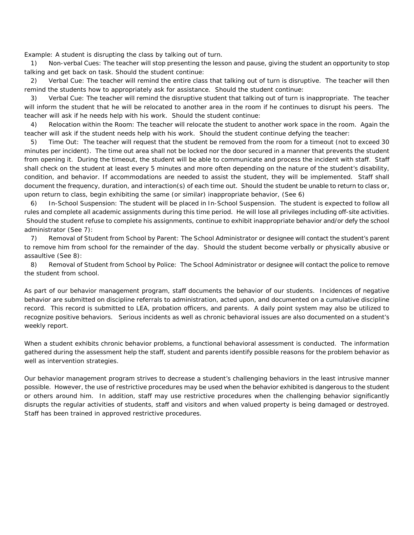*Example: A student is disrupting the class by talking out of turn.* 

*1) Non-verbal Cues: The teacher will stop presenting the lesson and pause, giving the student an opportunity to stop talking and get back on task. Should the student continue:*

*2) Verbal Cue: The teacher will remind the entire class that talking out of turn is disruptive. The teacher will then remind the students how to appropriately ask for assistance. Should the student continue:*

*3) Verbal Cue: The teacher will remind the disruptive student that talking out of turn is inappropriate. The teacher will inform the student that he will be relocated to another area in the room if he continues to disrupt his peers. The teacher will ask if he needs help with his work. Should the student continue:*

*4) Relocation within the Room: The teacher will relocate the student to another work space in the room. Again the teacher will ask if the student needs help with his work. Should the student continue defying the teacher:*

*5) Time Out: The teacher will request that the student be removed from the room for a timeout (not to exceed 30 minutes per incident). The time out area shall not be locked nor the door secured in a manner that prevents the student from opening it. During the timeout, the student will be able to communicate and process the incident with staff. Staff shall check on the student at least every 5 minutes and more often depending on the nature of the student's disability,*  condition, and behavior. If accommodations are needed to assist the student, they will be implemented. Staff shall *document the frequency, duration, and interaction(s) of each time out. Should the student be unable to return to class or, upon return to class, begin exhibiting the same (or similar) inappropriate behavior, (See 6)*

*6) In-School Suspension: The student will be placed in In-School Suspension. The student is expected to follow all rules and complete all academic assignments during this time period. He will lose all privileges including off-site activities. Should the student refuse to complete his assignments, continue to exhibit inappropriate behavior and/or defy the school administrator (See 7):*

*7) Removal of Student from School by Parent: The School Administrator or designee will contact the student's parent* to remove him from school for the remainder of the day. Should the student become verbally or physically abusive or *assaultive (See 8):*

*8) Removal of Student from School by Police: The School Administrator or designee will contact the police to remove the student from school.*

*As part of our behavior management program, staff documents the behavior of our students. Incidences of negative behavior are submitted on discipline referrals to administration, acted upon, and documented on a cumulative discipline record. This record is submitted to LEA, probation officers, and parents. A daily point system may also be utilized to recognize positive behaviors. Serious incidents as well as chronic behavioral issues are also documented on a student's weekly report.*

*When a student exhibits chronic behavior problems, a functional behavioral assessment is conducted. The information gathered during the assessment help the staff, student and parents identify possible reasons for the problem behavior as well as intervention strategies.*

*Our behavior management program strives to decrease a student's challenging behaviors in the least intrusive manner possible. However, the use of restrictive procedures may be used when the behavior exhibited is dangerous to the student or others around him. In addition, staff may use restrictive procedures when the challenging behavior significantly disrupts the regular activities of students, staff and visitors and when valued property is being damaged or destroyed. Staff has been trained in approved restrictive procedures.*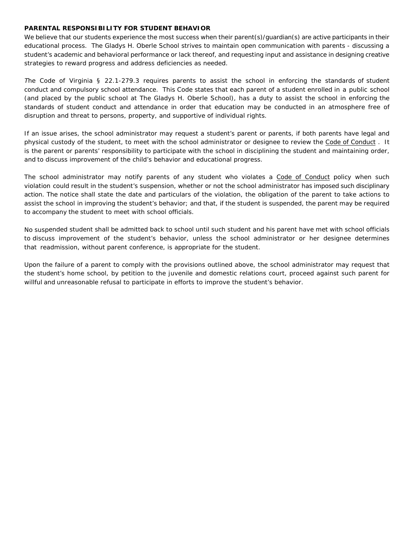#### *PARENTAL RESPONSIBILITY FOR STUDENT BEHAVIOR*

*We believe that our students experience the most success when their parent(s)/guardian(s) are active participants in their educational process. The Gladys H. Oberle School strives to maintain open communication with parents - discussing a student's academic and behavioral performance or lack thereof, and requesting input and assistance in designing creative strategies to reward progress and address deficiencies as needed.* 

*The Code of Virginia § 22.1-279.3 requires parents to assist the school in enforcing the standards of student*  conduct and compulsory school attendance. This Code states that each parent of a student enrolled in a public school *(and placed by the public school at The Gladys H. Oberle School), has a duty to assist the school in enforcing the standards of student conduct and attendance in order that education may be conducted in an atmosphere free of disruption and threat to persons, property, and supportive of individual rights.* 

*If an issue arises, the school administrator may request a student's parent or parents, if both parents have legal and physical custody of the student, to meet with the school administrator or designee to review the Code of Conduct . It is the parent or parents' responsibility to participate with the school in disciplining the student and maintaining order, and to discuss improvement of the child's behavior and educational progress.* 

*The school administrator may notify parents of any student who violates a Code of Conduct policy when such violation could result in the student's suspension, whether or not the school administrator has imposed such disciplinary action. The notice shall state the date and particulars of the violation, the obligation of the parent to take actions to*  assist the school in improving the student's behavior; and that, if the student is suspended, the parent may be required *to accompany the student to meet with school officials.* 

*No suspended student shall be admitted back to school until such student and his parent have met with school officials*  to discuss improvement of the student's behavior, unless the school administrator or her designee determines *that readmission, without parent conference, is appropriate for the student.* 

Upon the failure of a parent to comply with the provisions outlined above, the school administrator may request that *the student's home school, by petition to the juvenile and domestic relations court, proceed against such parent for willful and unreasonable refusal to participate in efforts to improve the student's behavior.*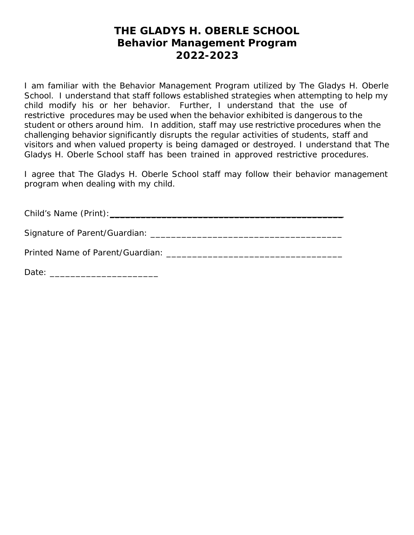## **THE GLADYS H. OBERLE SCHOOL Behavior Management Program 2022-2023**

I am familiar with the Behavior Management Program utilized by The Gladys H. Oberle School. I understand that staff follows established strategies when attempting to help my child modify his or her behavior. Further, I understand that the use of restrictive procedures may be used when the behavior exhibited is dangerous to the student or others around him. In addition, staff may use restrictive procedures when the challenging behavior significantly disrupts the regular activities of students, staff and visitors and when valued property is being damaged or destroyed. I understand that The Gladys H. Oberle School staff has been trained in approved restrictive procedures.

I agree that The Gladys H. Oberle School staff may follow their behavior management program when dealing with my child.

Child's Name (Print):\_\_\_\_\_\_\_\_\_\_\_\_\_\_\_\_\_\_\_\_\_\_\_\_\_\_\_\_\_\_\_\_\_\_\_\_\_\_\_\_\_\_\_\_\_

Signature of Parent/Guardian: \_\_\_\_\_\_\_\_\_\_\_\_\_\_\_\_\_\_\_\_\_\_\_\_\_\_\_\_\_\_\_\_\_\_\_\_\_

Printed Name of Parent/Guardian: **Example 2018** 

Date: \_\_\_\_\_\_\_\_\_\_\_\_\_\_\_\_\_\_\_\_\_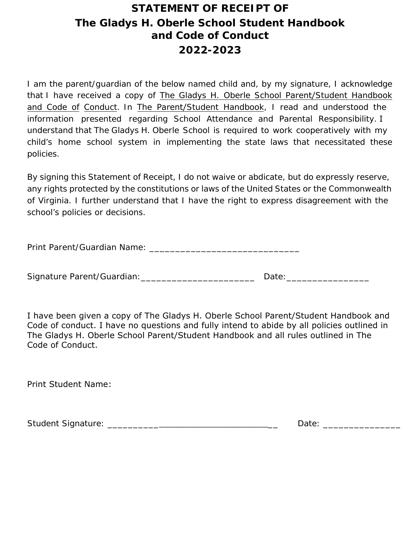# **STATEMENT OF RECEIPT OF The Gladys H. Oberle School Student Handbook and Code of Conduct 2022-2023**

I am the parent/guardian of the below named child and, by my signature, I acknowledge that I have received a copy of The Gladys H. Oberle School Parent/Student Handbook and Code of Conduct. In The Parent/Student Handbook, I read and understood the information presented regarding School Attendance and Parental Responsibility. I understand that The Gladys H. Oberle School is required to work cooperatively with my child's home school system in implementing the state laws that necessitated these policies.

By signing this Statement of Receipt, I do not waive or abdicate, but do expressly reserve, any rights protected by the constitutions or laws of the United States or the Commonwealth of Virginia. I further understand that I have the right to express disagreement with the school's policies or decisions.

Print Parent/Guardian Name: \_\_\_\_\_\_\_\_\_\_\_\_\_\_\_\_\_\_\_\_\_\_\_\_\_\_\_\_\_

Signature Parent/Guardian: \_\_\_\_\_\_\_\_\_\_\_\_\_\_\_\_\_\_\_\_\_\_\_\_\_\_\_ Date: \_\_\_\_\_\_\_\_\_\_\_\_\_\_\_\_\_\_\_

I have been given a copy of The Gladys H. Oberle School Parent/Student Handbook and Code of conduct. I have no questions and fully intend to abide by all policies outlined in The Gladys H. Oberle School Parent/Student Handbook and all rules outlined in The Code of Conduct.

Print Student Name:

| <b>Student Signature:</b><br>⊃ate∙ |  |
|------------------------------------|--|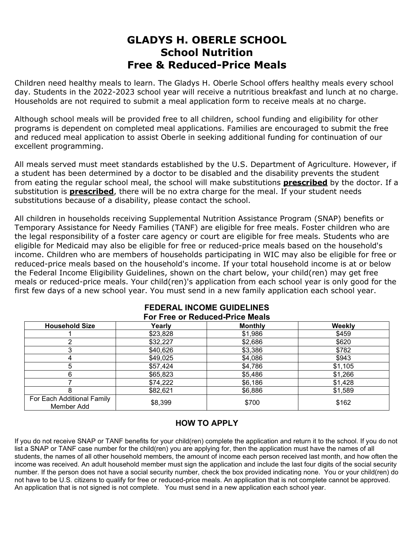## **GLADYS H. OBERLE SCHOOL School Nutrition Free & Reduced-Price Meals**

Children need healthy meals to learn. The Gladys H. Oberle School offers healthy meals every school day. Students in the 2022-2023 school year will receive a nutritious breakfast and lunch at no charge. Households are not required to submit a meal application form to receive meals at no charge.

Although school meals will be provided free to all children, school funding and eligibility for other programs is dependent on completed meal applications. Families are encouraged to submit the free and reduced meal application to assist Oberle in seeking additional funding for continuation of our excellent programming.

All meals served must meet standards established by the U.S. Department of Agriculture. However, if a student has been determined by a doctor to be disabled and the disability prevents the student from eating the regular school meal, the school will make substitutions **prescribed** by the doctor. If a substitution is **prescribed**, there will be no extra charge for the meal. If your student needs substitutions because of a disability, please contact the school.

All children in households receiving Supplemental Nutrition Assistance Program (SNAP) benefits or Temporary Assistance for Needy Families (TANF) are eligible for free meals. Foster children who are the legal responsibility of a foster care agency or court are eligible for free meals. Students who are eligible for Medicaid may also be eligible for free or reduced-price meals based on the household's income. Children who are members of households participating in WIC may also be eligible for free or reduced-price meals based on the household's income. If your total household income is at or below the Federal Income Eligibility Guidelines, shown on the chart below, your child(ren) may get free meals or reduced-price meals. Your child(ren)'s application from each school year is only good for the first few days of a new school year. You must send in a new family application each school year.

| . V.VV VI I \VWWVVW I TIVV IIIVWIV       |          |                |         |  |  |  |
|------------------------------------------|----------|----------------|---------|--|--|--|
| <b>Household Size</b>                    | Yearly   | <b>Monthly</b> | Weekly  |  |  |  |
|                                          | \$23,828 | \$1,986        | \$459   |  |  |  |
|                                          | \$32,227 | \$2,686        | \$620   |  |  |  |
|                                          | \$40,626 | \$3,386        | \$782   |  |  |  |
|                                          | \$49,025 | \$4,086        | \$943   |  |  |  |
|                                          | \$57,424 | \$4,786        | \$1,105 |  |  |  |
|                                          | \$65,823 | \$5,486        | \$1,266 |  |  |  |
|                                          | \$74,222 | \$6,186        | \$1,428 |  |  |  |
|                                          | \$82,621 | \$6,886        | \$1,589 |  |  |  |
| For Each Additional Family<br>Member Add | \$8,399  | \$700          | \$162   |  |  |  |

#### **FEDERAL INCOME GUIDELINES For Free or Reduced-Price Meals**

### **HOW TO APPLY**

If you do not receive SNAP or TANF benefits for your child(ren) complete the application and return it to the school. If you do not list a SNAP or TANF case number for the child(ren) you are applying for, then the application must have the names of all students, the names of all other household members, the amount of income each person received last month, and how often the income was received. An adult household member must sign the application and include the last four digits of the social security number. If the person does not have a social security number, check the box provided indicating none. You or your child(ren) do not have to be U.S. citizens to qualify for free or reduced-price meals. An application that is not complete cannot be approved. An application that is not signed is not complete. You must send in a new application each school year.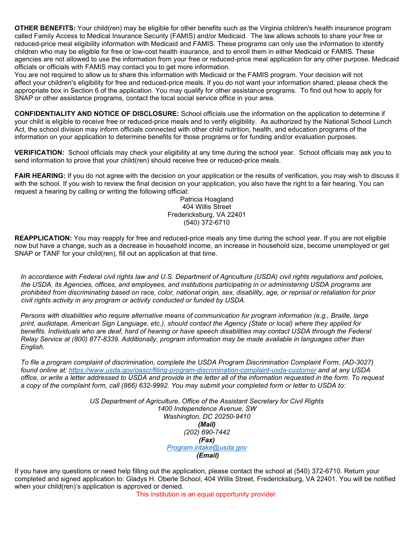**OTHER BENEFITS:** Your child(ren) may be eligible for other benefits such as the Virginia children's health insurance program called Family Access to Medical Insurance Security (FAMIS) and/or Medicaid. The law allows schools to share your free or reduced-price meal eligibility information with Medicaid and FAMIS. These programs can only use the information to identify children who may be eligible for free or low-cost health insurance, and to enroll them in either Medicaid or FAMIS. These agencies are not allowed to use the information from your free or reduced-price meal application for any other purpose. Medicaid officials or officials with FAMIS may contact you to get more information.

You are not required to allow us to share this information with Medicaid or the FAMIS program. Your decision will not affect your children's eligibility for free and reduced-price meals. If you do not want your information shared, please check the appropriate box in Section 6 of the application. You may qualify for other assistance programs. To find out how to apply for SNAP or other assistance programs, contact the local social service office in your area.

**CONFIDENTIALITY AND NOTICE OF DISCLOSURE:** School officials use the information on the application to determine if your child is eligible to receive free or reduced-price meals and to verify eligibility. As authorized by the National School Lunch Act, the school division may inform officials connected with other child nutrition, health, and education programs of the information on your application to determine benefits for those programs or for funding and/or evaluation purposes.

**VERIFICATION:** School officials may check your eligibility at any time during the school year. School officials may ask you to send information to prove that your child(ren) should receive free or reduced-price meals.

**FAIR HEARING:** If you do not agree with the decision on your application or the results of verification, you may wish to discuss it with the school. If you wish to review the final decision on your application, you also have the right to a fair hearing. You can request a hearing by calling or writing the following official:

Patricia Hoagland 404 Willis Street Fredericksburg, VA 22401 (540) 372-6710

**REAPPLICATION:** You may reapply for free and reduced-price meals any time during the school year. If you are not eligible now but have a change, such as a decrease in household income, an increase in household size, become unemployed or get SNAP or TANF for your child(ren), fill out an application at that time.

*In accordance with Federal civil rights law and U.S. Department of Agriculture (USDA) civil rights regulations and policies, the USDA, its Agencies, offices, and employees, and institutions participating in or administering USDA programs are prohibited from discriminating based on race, color, national origin, sex, disability, age, or reprisal or retaliation for prior civil rights activity in any program or activity conducted or funded by USDA.*

*Persons with disabilities who require alternative means of communication for program information (e.g., Braille, large print, audiotape, American Sign Language, etc.), should contact the Agency (State or local) where they applied for*  benefits. Individuals who are deaf, hard of hearing or have speech disabilities may contact USDA through the Federal *Relay Service at (800) 877-8339. Additionally, program information may be made available in languages other than English.*

*To file a program complaint of discrimination, complete the USDA Program Discrimination Complaint Form, (AD-3027) found online at:<https://www.usda.gov/oascr/filing-program-discrimination-complaint-usda-customer> and at any USDA office, or write a letter addressed to USDA and provide in the letter all of the information requested in the form. To request a copy of the complaint form, call (866) 632-9992. You may submit your completed form or letter to USDA to:*

> *US Department of Agriculture, Office of the Assistant Secretary for Civil Rights 1400 Independence Avenue, SW Washington, DC 20250-9410 (Mail) (202) 690-7442 (Fax) [Program.intake@usda.gov](mailto:Program.intake@usda.gov) (Email)*

If you have any questions or need help filling out the application, please contact the school at (540) 372-6710. Return your completed and signed application to: Gladys H. Oberle School, 404 Willis Street, Fredericksburg, VA 22401. You will be notified when your child(ren)'s application is approved or denied.

This institution is an equal opportunity provider.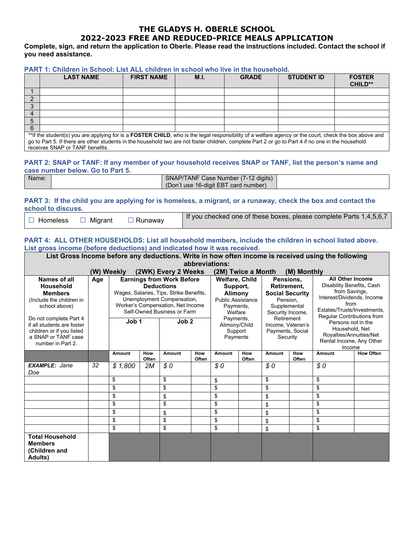### **THE GLADYS H. OBERLE SCHOOL 2022-2023 FREE AND REDUCED-PRICE MEALS APPLICATION**

**Complete, sign, and return the application to Oberle. Please read the instructions included. Contact the school if you need assistance.**

| PART 1: Children in School: List ALL children in school who live in the household. |  |
|------------------------------------------------------------------------------------|--|
|------------------------------------------------------------------------------------|--|

|                                                                                                                                                       | <b>LAST NAME</b> | <b>FIRST NAME</b> | M.I. | <b>GRADE</b> | <b>STUDENT ID</b> | <b>FOSTER</b><br><b>CHILD**</b> |
|-------------------------------------------------------------------------------------------------------------------------------------------------------|------------------|-------------------|------|--------------|-------------------|---------------------------------|
|                                                                                                                                                       |                  |                   |      |              |                   |                                 |
|                                                                                                                                                       |                  |                   |      |              |                   |                                 |
| ◠                                                                                                                                                     |                  |                   |      |              |                   |                                 |
|                                                                                                                                                       |                  |                   |      |              |                   |                                 |
|                                                                                                                                                       |                  |                   |      |              |                   |                                 |
|                                                                                                                                                       |                  |                   |      |              |                   |                                 |
| **If the student(s) you are applying for is a FOSTER CHILD, who is the legal responsibility of a welfare agency or the court, check the box above and |                  |                   |      |              |                   |                                 |
| go to Part 5. If there are other students in the household two are not foster children, complete Part 2 or go to Part 4 if no one in the household    |                  |                   |      |              |                   |                                 |

receives SNAP or TANF benefits.

#### **PART 2: SNAP or TANF: If any member of your household receives SNAP or TANF, list the person's name and case number below. Go to Part 5.**

| Name: | SNAP/TANF Case Number (7-12 digits)  |  |
|-------|--------------------------------------|--|
|       | (Don't use 16-digit EBT card number) |  |

#### **PART 3: If the child you are applying for is homeless, a migrant, or a runaway, check the box and contact the school to discuss.**

| $\Box$ Homeless $\Box$ Migrant $\Box$ Runaway | If you checked one of these boxes, please complete Parts 1,4,5,6,7 |
|-----------------------------------------------|--------------------------------------------------------------------|
|-----------------------------------------------|--------------------------------------------------------------------|

#### **PART 4: ALL OTHER HOUSEHOLDS: List all household members, include the children in school listed above. List gross income (before deductions) and indicated how it was received.**

| List Gross Income before any deductions. Write in how often income is received using the following                                                                            |     |                                                                                                                                                                                                                                            |              |                                                                                                                                                                                                                                                                                                        |              |          |                                                                                                                                                                                                                  |          |              |                                                               |                  |
|-------------------------------------------------------------------------------------------------------------------------------------------------------------------------------|-----|--------------------------------------------------------------------------------------------------------------------------------------------------------------------------------------------------------------------------------------------|--------------|--------------------------------------------------------------------------------------------------------------------------------------------------------------------------------------------------------------------------------------------------------------------------------------------------------|--------------|----------|------------------------------------------------------------------------------------------------------------------------------------------------------------------------------------------------------------------|----------|--------------|---------------------------------------------------------------|------------------|
| abbreviations:                                                                                                                                                                |     |                                                                                                                                                                                                                                            |              |                                                                                                                                                                                                                                                                                                        |              |          |                                                                                                                                                                                                                  |          |              |                                                               |                  |
| (W) Weekly<br>(2WK) Every 2 Weeks<br>(2M) Twice a Month<br>(M) Monthly                                                                                                        |     |                                                                                                                                                                                                                                            |              |                                                                                                                                                                                                                                                                                                        |              |          |                                                                                                                                                                                                                  |          |              |                                                               |                  |
| Names of all<br>Household<br><b>Members</b><br>(Include the children in<br>school above)<br>Do not complete Part 4<br>if all students are foster<br>children or if you listed | Age | <b>Earnings from Work Before</b><br><b>Deductions</b><br>Wages, Salaries, Tips, Strike Benefits,<br>Unemployment Compensation,<br>Worker's Compensation, Net Income<br>Self-Owned Business or Farm<br>Job <sub>1</sub><br>Job <sub>2</sub> |              | Welfare, Child<br>Pensions,<br>Retirement.<br>Support,<br><b>Social Security</b><br><b>Alimony</b><br><b>Public Assistance</b><br>Pension,<br>Supplemental<br>Payments,<br>Welfare<br>Security Income,<br>Payments,<br>Retirement<br>Alimony/Child<br>Income, Veteran's<br>Payments, Social<br>Support |              |          | <b>All Other Income</b><br>Disability Benefits, Cash<br>from Savings,<br>Interest/Dividends, Income<br>from<br>Estates/Trusts/Investments.<br>Regular Contributions from<br>Persons not in the<br>Household, Net |          |              |                                                               |                  |
| a SNAP or TANF case<br>number in Part 2.                                                                                                                                      |     |                                                                                                                                                                                                                                            |              |                                                                                                                                                                                                                                                                                                        |              | Payments |                                                                                                                                                                                                                  | Security |              | Royalties/Annuities/Net<br>Rental Income, Any Other<br>Income |                  |
|                                                                                                                                                                               |     | Amount                                                                                                                                                                                                                                     | How<br>Often | Amount                                                                                                                                                                                                                                                                                                 | How<br>Often | Amount   | How<br>Often                                                                                                                                                                                                     | Amount   | How<br>Often | Amount                                                        | <b>How Often</b> |
| <b>EXAMPLE: Jane</b><br>Doe                                                                                                                                                   | 32  | \$1,800                                                                                                                                                                                                                                    | 2M           | \$0                                                                                                                                                                                                                                                                                                    |              | \$0      |                                                                                                                                                                                                                  | \$0      |              | \$0                                                           |                  |
|                                                                                                                                                                               |     | \$                                                                                                                                                                                                                                         |              | \$                                                                                                                                                                                                                                                                                                     |              | \$       |                                                                                                                                                                                                                  | \$       |              | \$                                                            |                  |
|                                                                                                                                                                               |     | \$                                                                                                                                                                                                                                         |              | \$                                                                                                                                                                                                                                                                                                     |              | \$       |                                                                                                                                                                                                                  | \$       |              | \$                                                            |                  |
|                                                                                                                                                                               |     | \$                                                                                                                                                                                                                                         |              | \$                                                                                                                                                                                                                                                                                                     |              | \$       |                                                                                                                                                                                                                  | \$       |              | \$                                                            |                  |
|                                                                                                                                                                               |     | \$                                                                                                                                                                                                                                         |              | \$                                                                                                                                                                                                                                                                                                     |              | \$       |                                                                                                                                                                                                                  | \$       |              | \$                                                            |                  |
|                                                                                                                                                                               |     | \$                                                                                                                                                                                                                                         |              | \$                                                                                                                                                                                                                                                                                                     |              | \$       |                                                                                                                                                                                                                  | \$       |              | \$                                                            |                  |
|                                                                                                                                                                               |     | \$                                                                                                                                                                                                                                         |              | \$                                                                                                                                                                                                                                                                                                     |              | \$       |                                                                                                                                                                                                                  | \$       |              | \$                                                            |                  |
|                                                                                                                                                                               |     | \$                                                                                                                                                                                                                                         |              | \$                                                                                                                                                                                                                                                                                                     |              | \$       |                                                                                                                                                                                                                  | \$       |              | \$                                                            |                  |
| <b>Total Household</b><br><b>Members</b><br>(Children and<br><b>Adults</b> )                                                                                                  |     |                                                                                                                                                                                                                                            |              |                                                                                                                                                                                                                                                                                                        |              |          |                                                                                                                                                                                                                  |          |              |                                                               |                  |